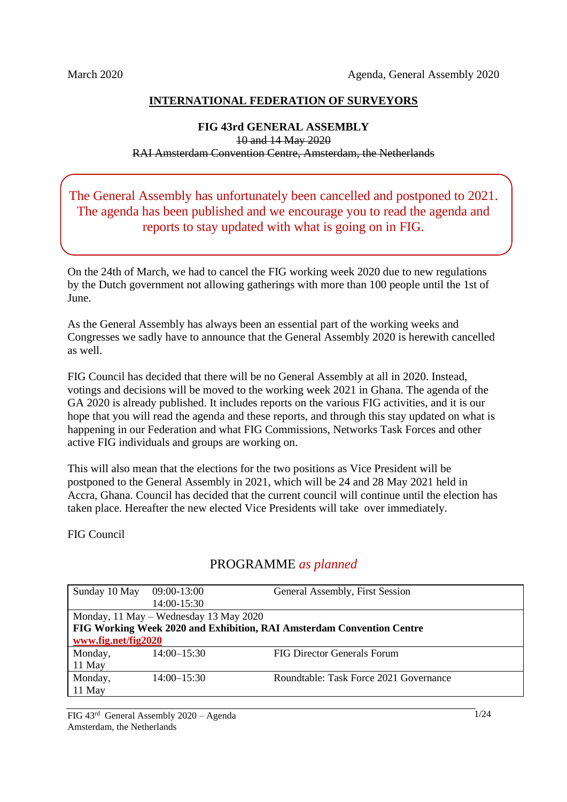### **INTERNATIONAL FEDERATION OF SURVEYORS**

#### **FIG 43rd GENERAL ASSEMBLY** 10 and 14 May 2020 RAI Amsterdam Convention Centre, Amsterdam, the Netherlands

The General Assembly has unfortunately been cancelled and postponed to 2021. The agenda has been published and we encourage you to read the agenda and reports to stay updated with what is going on in FIG.

On the 24th of March, we had to cancel the FIG working week 2020 due to new regulations by the Dutch government not allowing gatherings with more than 100 people until the 1st of June.

As the General Assembly has always been an essential part of the working weeks and Congresses we sadly have to announce that the General Assembly 2020 is herewith cancelled as well.

FIG Council has decided that there will be no General Assembly at all in 2020. Instead, votings and decisions will be moved to the working week 2021 in Ghana. The agenda of the GA 2020 is already published. It includes reports on the various FIG activities, and it is our hope that you will read the agenda and these reports, and through this stay updated on what is happening in our Federation and what FIG Commissions, Networks Task Forces and other active FIG individuals and groups are working on.

This will also mean that the elections for the two positions as Vice President will be postponed to the General Assembly in 2021, which will be 24 and 28 May 2021 held in Accra, Ghana. Council has decided that the current council will continue until the election has taken place. Hereafter the new elected Vice Presidents will take over immediately.

FIG Council

# PROGRAMME *as planned*

| Sunday 10 May                                                         | 09:00-13:00     | General Assembly, First Session        |  |
|-----------------------------------------------------------------------|-----------------|----------------------------------------|--|
|                                                                       | 14:00-15:30     |                                        |  |
| Monday, 11 May – Wednesday 13 May 2020                                |                 |                                        |  |
| FIG Working Week 2020 and Exhibition, RAI Amsterdam Convention Centre |                 |                                        |  |
| www.fig.net/fig2020                                                   |                 |                                        |  |
| Monday,                                                               | $14:00 - 15:30$ | FIG Director Generals Forum            |  |
| 11 May                                                                |                 |                                        |  |
| Monday,                                                               | $14:00 - 15:30$ | Roundtable: Task Force 2021 Governance |  |
| 11 May                                                                |                 |                                        |  |

FIG 43rd General Assembly 2020 – Agenda Amsterdam, the Netherlands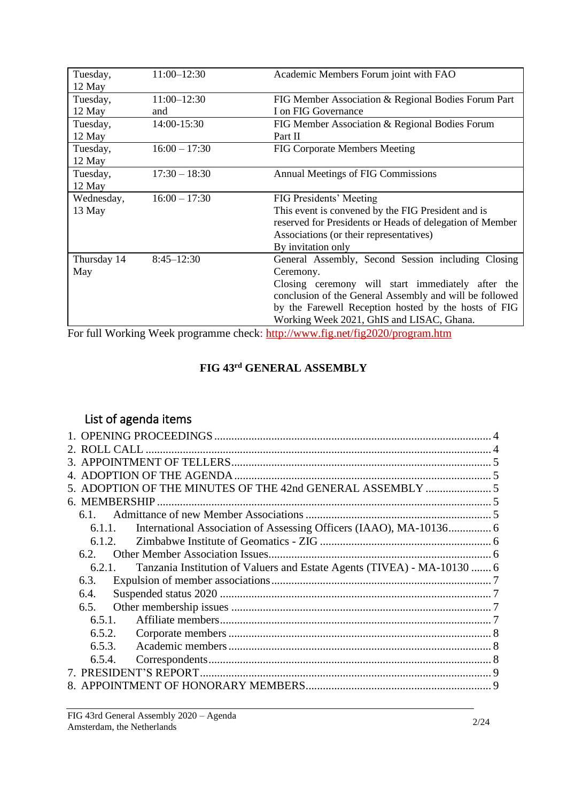| Tuesday,<br>12 May           | $11:00 - 12:30$    | Academic Members Forum joint with FAO                                                                                                                                                                                                                                                |  |
|------------------------------|--------------------|--------------------------------------------------------------------------------------------------------------------------------------------------------------------------------------------------------------------------------------------------------------------------------------|--|
| Tuesday,                     | $11:00 - 12:30$    | FIG Member Association & Regional Bodies Forum Part                                                                                                                                                                                                                                  |  |
| 12 May<br>Tuesday,<br>12 May | and<br>14:00-15:30 | I on FIG Governance<br>FIG Member Association & Regional Bodies Forum<br>Part II                                                                                                                                                                                                     |  |
| Tuesday,<br>12 May           | $16:00 - 17:30$    | <b>FIG Corporate Members Meeting</b>                                                                                                                                                                                                                                                 |  |
| Tuesday,<br>12 May           | $17:30 - 18:30$    | <b>Annual Meetings of FIG Commissions</b>                                                                                                                                                                                                                                            |  |
| Wednesday,<br>13 May         | $16:00 - 17:30$    | FIG Presidents' Meeting<br>This event is convened by the FIG President and is<br>reserved for Presidents or Heads of delegation of Member<br>Associations (or their representatives)<br>By invitation only                                                                           |  |
| Thursday 14<br>May           | $8:45 - 12:30$     | General Assembly, Second Session including Closing<br>Ceremony.<br>Closing ceremony will start immediately after the<br>conclusion of the General Assembly and will be followed<br>by the Farewell Reception hosted by the hosts of FIG<br>Working Week 2021, GhIS and LISAC, Ghana. |  |

For full Working Week programme check:<http://www.fig.net/fig2020/program.htm>

# **FIG 43 rd GENERAL ASSEMBLY**

# List of agenda items

|        | 5. ADOPTION OF THE MINUTES OF THE 42nd GENERAL ASSEMBLY  5              |  |
|--------|-------------------------------------------------------------------------|--|
|        |                                                                         |  |
| 6.1.   |                                                                         |  |
| 6.1.1. |                                                                         |  |
| 6.1.2. |                                                                         |  |
| 6.2.   |                                                                         |  |
| 6.2.1. | Tanzania Institution of Valuers and Estate Agents (TIVEA) - MA-10130  6 |  |
| 6.3.   |                                                                         |  |
| 6.4.   |                                                                         |  |
| 6.5.   |                                                                         |  |
| 6.5.1. |                                                                         |  |
| 6.5.2. |                                                                         |  |
| 6.5.3. |                                                                         |  |
| 6.5.4. |                                                                         |  |
|        |                                                                         |  |
|        |                                                                         |  |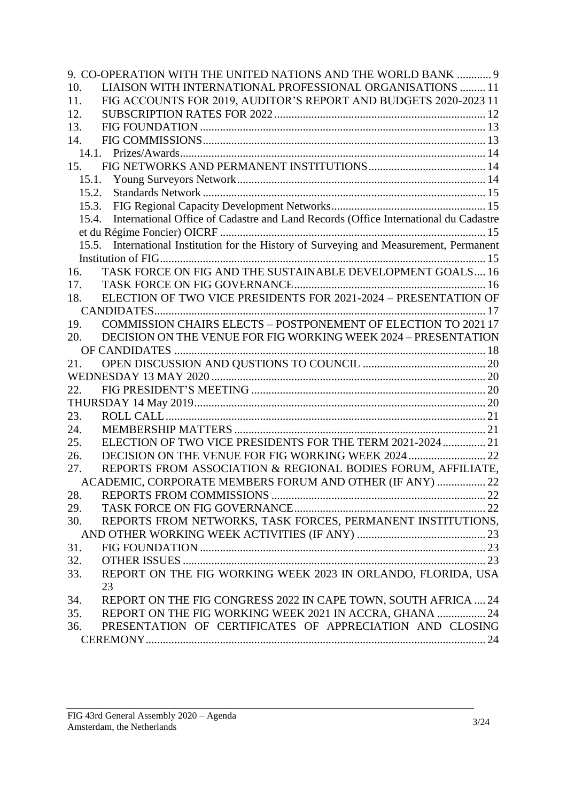|       | 9. CO-OPERATION WITH THE UNITED NATIONS AND THE WORLD BANK  9                           |  |
|-------|-----------------------------------------------------------------------------------------|--|
| 10.   | LIAISON WITH INTERNATIONAL PROFESSIONAL ORGANISATIONS  11                               |  |
| 11.   | FIG ACCOUNTS FOR 2019, AUDITOR'S REPORT AND BUDGETS 2020-2023 11                        |  |
| 12.   |                                                                                         |  |
| 13.   |                                                                                         |  |
| 14.   |                                                                                         |  |
|       |                                                                                         |  |
| 15.   |                                                                                         |  |
|       |                                                                                         |  |
| 15.2. |                                                                                         |  |
| 15.3. |                                                                                         |  |
| 15.4. | International Office of Cadastre and Land Records (Office International du Cadastre     |  |
|       |                                                                                         |  |
|       | 15.5. International Institution for the History of Surveying and Measurement, Permanent |  |
|       |                                                                                         |  |
| 16.   | TASK FORCE ON FIG AND THE SUSTAINABLE DEVELOPMENT GOALS 16                              |  |
| 17.   |                                                                                         |  |
| 18.   | ELECTION OF TWO VICE PRESIDENTS FOR 2021-2024 - PRESENTATION OF                         |  |
|       |                                                                                         |  |
| 19.   | COMMISSION CHAIRS ELECTS - POSTPONEMENT OF ELECTION TO 2021 17                          |  |
| 20.   | DECISION ON THE VENUE FOR FIG WORKING WEEK 2024 - PRESENTATION                          |  |
|       |                                                                                         |  |
| 21.   |                                                                                         |  |
|       |                                                                                         |  |
| 22.   |                                                                                         |  |
|       |                                                                                         |  |
| 23.   |                                                                                         |  |
| 24.   |                                                                                         |  |
| 25.   | ELECTION OF TWO VICE PRESIDENTS FOR THE TERM 2021-2024  21                              |  |
| 26.   | DECISION ON THE VENUE FOR FIG WORKING WEEK 2024  22                                     |  |
| 27.   | REPORTS FROM ASSOCIATION & REGIONAL BODIES FORUM, AFFILIATE,                            |  |
|       | ACADEMIC, CORPORATE MEMBERS FORUM AND OTHER (IF ANY)  22                                |  |
| 28.   |                                                                                         |  |
| 29.   |                                                                                         |  |
| 30.   | REPORTS FROM NETWORKS, TASK FORCES, PERMANENT INSTITUTIONS,                             |  |
|       |                                                                                         |  |
| 31.   |                                                                                         |  |
| 32.   |                                                                                         |  |
| 33.   | REPORT ON THE FIG WORKING WEEK 2023 IN ORLANDO, FLORIDA, USA                            |  |
|       | 23                                                                                      |  |
| 34.   | REPORT ON THE FIG CONGRESS 2022 IN CAPE TOWN, SOUTH AFRICA  24                          |  |
| 35.   | REPORT ON THE FIG WORKING WEEK 2021 IN ACCRA, GHANA  24                                 |  |
| 36.   | PRESENTATION OF CERTIFICATES OF APPRECIATION AND CLOSING                                |  |
|       |                                                                                         |  |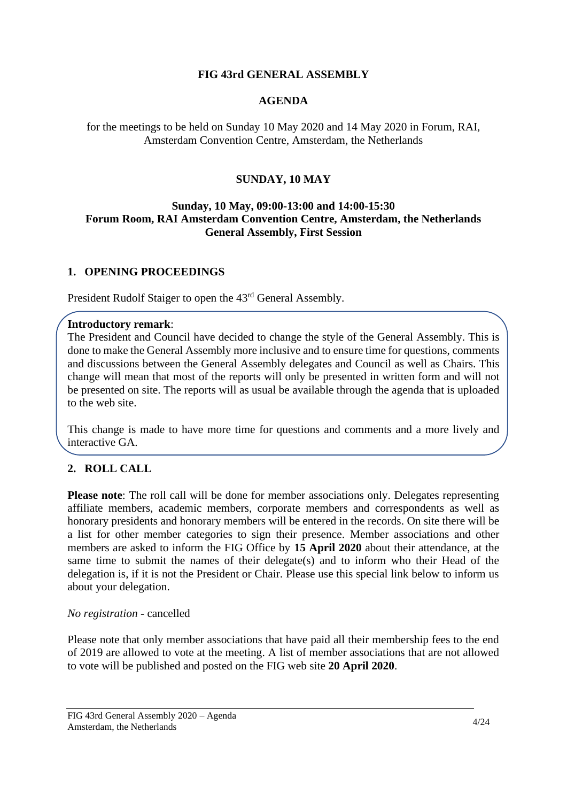### **FIG 43rd GENERAL ASSEMBLY**

### **AGENDA**

for the meetings to be held on Sunday 10 May 2020 and 14 May 2020 in Forum, RAI, Amsterdam Convention Centre, Amsterdam, the Netherlands

### **SUNDAY, 10 MAY**

#### **Sunday, 10 May, 09:00-13:00 and 14:00-15:30 Forum Room, RAI Amsterdam Convention Centre, Amsterdam, the Netherlands General Assembly, First Session**

#### <span id="page-3-0"></span>**1. OPENING PROCEEDINGS**

President Rudolf Staiger to open the 43<sup>rd</sup> General Assembly.

#### **Introductory remark**:

The President and Council have decided to change the style of the General Assembly. This is done to make the General Assembly more inclusive and to ensure time for questions, comments and discussions between the General Assembly delegates and Council as well as Chairs. This change will mean that most of the reports will only be presented in written form and will not be presented on site. The reports will as usual be available through the agenda that is uploaded to the web site.

This change is made to have more time for questions and comments and a more lively and interactive GA.

# <span id="page-3-1"></span>**2. ROLL CALL**

**Please note:** The roll call will be done for member associations only. Delegates representing affiliate members, academic members, corporate members and correspondents as well as honorary presidents and honorary members will be entered in the records. On site there will be a list for other member categories to sign their presence. Member associations and other members are asked to inform the FIG Office by **15 April 2020** about their attendance, at the same time to submit the names of their delegate(s) and to inform who their Head of the delegation is, if it is not the President or Chair. Please use this special link below to inform us about your delegation.

#### *No registration* - cancelled

Please note that only member associations that have paid all their membership fees to the end of 2019 are allowed to vote at the meeting. A list of member associations that are not allowed to vote will be published and posted on the FIG web site **20 April 2020**.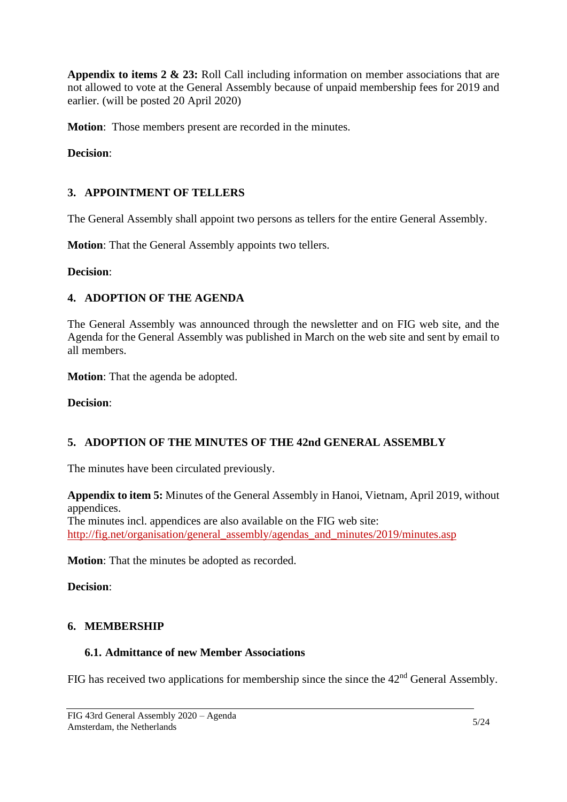**Appendix to items 2 & 23:** Roll Call including information on member associations that are not allowed to vote at the General Assembly because of unpaid membership fees for 2019 and earlier. (will be posted 20 April 2020)

**Motion**: Those members present are recorded in the minutes.

**Decision**:

### <span id="page-4-0"></span>**3. APPOINTMENT OF TELLERS**

The General Assembly shall appoint two persons as tellers for the entire General Assembly.

**Motion**: That the General Assembly appoints two tellers.

**Decision**:

### <span id="page-4-1"></span>**4. ADOPTION OF THE AGENDA**

The General Assembly was announced through the newsletter and on FIG web site, and the Agenda for the General Assembly was published in March on the web site and sent by email to all members.

**Motion**: That the agenda be adopted.

**Decision**:

# <span id="page-4-2"></span>**5. ADOPTION OF THE MINUTES OF THE 42nd GENERAL ASSEMBLY**

The minutes have been circulated previously.

**Appendix to item 5:** Minutes of the General Assembly in Hanoi, Vietnam, April 2019, without appendices.

The minutes incl. appendices are also available on the FIG web site: [http://fig.net/organisation/general\\_assembly/agendas\\_and\\_minutes/2019/minutes.asp](http://fig.net/organisation/general_assembly/agendas_and_minutes/2019/minutes.asp)

**Motion**: That the minutes be adopted as recorded.

**Decision**:

#### <span id="page-4-3"></span>**6. MEMBERSHIP**

### <span id="page-4-4"></span>**6.1. Admittance of new Member Associations**

FIG has received two applications for membership since the since the  $42<sup>nd</sup>$  General Assembly.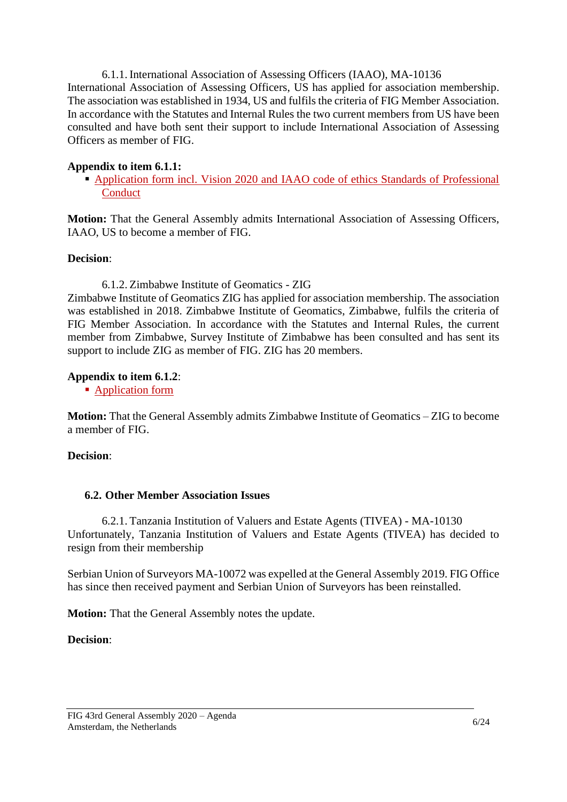<span id="page-5-0"></span>6.1.1. International Association of Assessing Officers (IAAO), MA-10136 International Association of Assessing Officers, US has applied for association membership. The association was established in 1934, US and fulfils the criteria of FIG Member Association. In accordance with the Statutes and Internal Rules the two current members from US have been consulted and have both sent their support to include International Association of Assessing Officers as member of FIG.

### **Appendix to item 6.1.1:**

**Example 1** Application form incl. Vision 2020 and IAAO code of ethics Standards of Professional [Conduct](https://fig.net/organisation/general_assembly/agendas_and_minutes/2020/agenda/app_06_01_MA-IAAO-application.pdf)

**Motion:** That the General Assembly admits International Association of Assessing Officers, IAAO, US to become a member of FIG.

#### **Decision**:

<span id="page-5-1"></span>6.1.2. Zimbabwe Institute of Geomatics - ZIG Zimbabwe Institute of Geomatics ZIG has applied for association membership. The association was established in 2018. Zimbabwe Institute of Geomatics, Zimbabwe, fulfils the criteria of FIG Member Association. In accordance with the Statutes and Internal Rules, the current member from Zimbabwe, Survey Institute of Zimbabwe has been consulted and has sent its support to include ZIG as member of FIG. ZIG has 20 members.

#### **Appendix to item 6.1.2**:

■ [Application form](https://fig.net/organisation/general_assembly/agendas_and_minutes/2020/agenda/app_06_02_ZIG_application.pdf)

**Motion:** That the General Assembly admits Zimbabwe Institute of Geomatics – ZIG to become a member of FIG.

# **Decision**:

# <span id="page-5-2"></span>**6.2. Other Member Association Issues**

<span id="page-5-3"></span>6.2.1. Tanzania Institution of Valuers and Estate Agents (TIVEA) - MA-10130 Unfortunately, Tanzania Institution of Valuers and Estate Agents (TIVEA) has decided to resign from their membership

Serbian Union of Surveyors MA-10072 was expelled at the General Assembly 2019. FIG Office has since then received payment and Serbian Union of Surveyors has been reinstalled.

**Motion:** That the General Assembly notes the update.

#### **Decision**: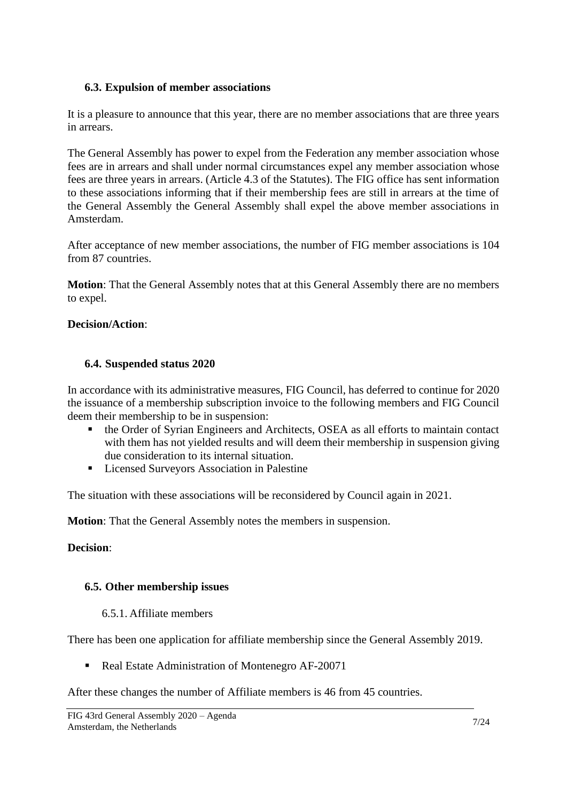#### <span id="page-6-0"></span>**6.3. Expulsion of member associations**

It is a pleasure to announce that this year, there are no member associations that are three years in arrears.

The General Assembly has power to expel from the Federation any member association whose fees are in arrears and shall under normal circumstances expel any member association whose fees are three years in arrears. (Article 4.3 of the Statutes). The FIG office has sent information to these associations informing that if their membership fees are still in arrears at the time of the General Assembly the General Assembly shall expel the above member associations in Amsterdam.

After acceptance of new member associations, the number of FIG member associations is 104 from 87 countries.

**Motion**: That the General Assembly notes that at this General Assembly there are no members to expel.

#### **Decision/Action**:

#### <span id="page-6-1"></span>**6.4. Suspended status 2020**

In accordance with its administrative measures, FIG Council, has deferred to continue for 2020 the issuance of a membership subscription invoice to the following members and FIG Council deem their membership to be in suspension:

- the Order of Syrian Engineers and Architects, OSEA as all efforts to maintain contact with them has not yielded results and will deem their membership in suspension giving due consideration to its internal situation.
- Licensed Surveyors Association in Palestine

The situation with these associations will be reconsidered by Council again in 2021.

**Motion**: That the General Assembly notes the members in suspension.

#### **Decision**:

#### <span id="page-6-2"></span>**6.5. Other membership issues**

#### 6.5.1. Affiliate members

<span id="page-6-3"></span>There has been one application for affiliate membership since the General Assembly 2019.

■ Real Estate Administration of Montenegro AF-20071

After these changes the number of Affiliate members is 46 from 45 countries.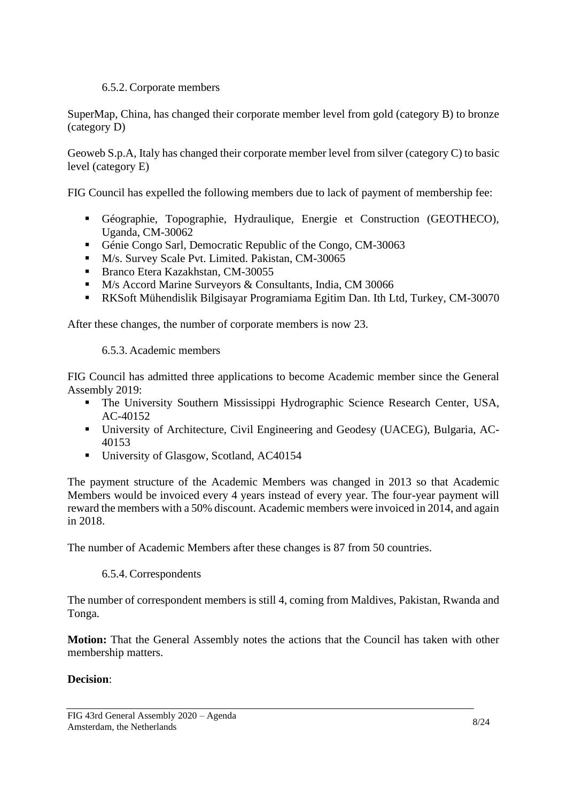### 6.5.2. Corporate members

<span id="page-7-0"></span>SuperMap, China, has changed their corporate member level from gold (category B) to bronze (category D)

Geoweb S.p.A, Italy has changed their corporate member level from silver (category C) to basic level (category E)

FIG Council has expelled the following members due to lack of payment of membership fee:

- Géographie, Topographie, Hydraulique, Energie et Construction (GEOTHECO), Uganda, CM-30062
- Génie Congo Sarl, Democratic Republic of the Congo, CM-30063
- M/s. Survey Scale Pvt. Limited. Pakistan, CM-30065
- Branco Etera Kazakhstan, CM-30055
- M/s Accord Marine Surveyors & Consultants, India, CM 30066
- RKSoft Mühendislik Bilgisayar Programiama Egitim Dan. Ith Ltd, Turkey, CM-30070

<span id="page-7-1"></span>After these changes, the number of corporate members is now 23.

6.5.3. Academic members

FIG Council has admitted three applications to become Academic member since the General Assembly 2019:

- **•** The University Southern Mississippi Hydrographic Science Research Center, USA, AC-40152
- University of Architecture, Civil Engineering and Geodesy (UACEG), Bulgaria, AC-40153
- University of Glasgow, Scotland, AC40154

The payment structure of the Academic Members was changed in 2013 so that Academic Members would be invoiced every 4 years instead of every year. The four-year payment will reward the members with a 50% discount. Academic members were invoiced in 2014, and again in 2018.

<span id="page-7-2"></span>The number of Academic Members after these changes is 87 from 50 countries.

# 6.5.4. Correspondents

The number of correspondent members is still 4, coming from Maldives, Pakistan, Rwanda and Tonga.

**Motion:** That the General Assembly notes the actions that the Council has taken with other membership matters.

# **Decision**: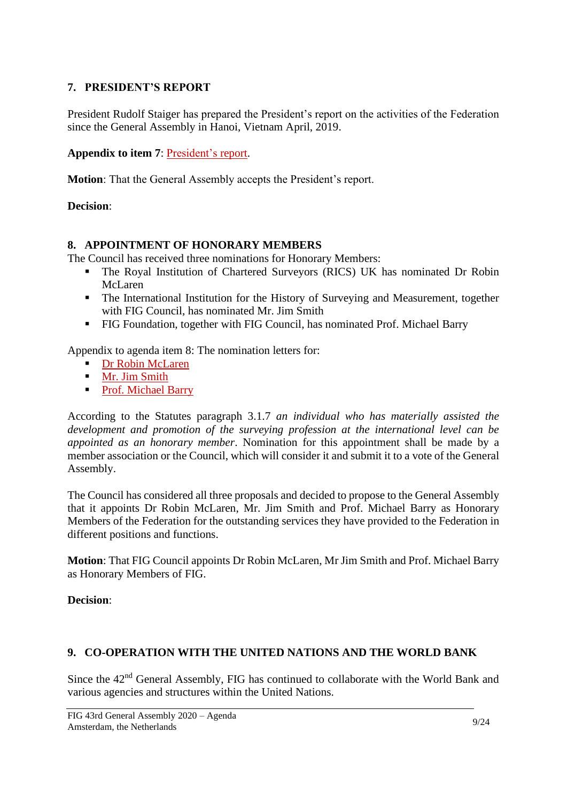### <span id="page-8-0"></span>**7. PRESIDENT'S REPORT**

President Rudolf Staiger has prepared the President's report on the activities of the Federation since the General Assembly in Hanoi, Vietnam April, 2019.

**Appendix to item 7**: [President's report.](https://fig.net/organisation/general_assembly/agendas_and_minutes/2020/pres_report.asp)

**Motion**: That the General Assembly accepts the President's report.

#### **Decision**:

#### <span id="page-8-1"></span>**8. APPOINTMENT OF HONORARY MEMBERS**

The Council has received three nominations for Honorary Members:

- **.** The Royal Institution of Chartered Surveyors (RICS) UK has nominated Dr Robin McLaren
- The International Institution for the History of Surveying and Measurement, together with FIG Council, has nominated Mr. Jim Smith
- **EXECTE FIG Foundation, together with FIG Council, has nominated Prof. Michael Barry**

Appendix to agenda item 8: The nomination letters for:

- [Dr Robin McLaren](https://fig.net/organisation/general_assembly/agendas_and_minutes/2020/agenda/app_08_01_hon_mem_mclaren_nomination2020.pdf)
- **■** Mr. [Jim Smith](https://fig.net/organisation/general_assembly/agendas_and_minutes/2020/agenda/app_08_02_Jim_Smith-honorary-member_motivation.pdf)
- [Prof. Michael Barry](https://fig.net/organisation/general_assembly/agendas_and_minutes/2020/agenda/app_08_03_Mike_Barry_nomination_letter.pdf)

According to the Statutes paragraph 3.1.7 *an individual who has materially assisted the development and promotion of the surveying profession at the international level can be appointed as an honorary member*. Nomination for this appointment shall be made by a member association or the Council, which will consider it and submit it to a vote of the General Assembly.

The Council has considered all three proposals and decided to propose to the General Assembly that it appoints Dr Robin McLaren, Mr. Jim Smith and Prof. Michael Barry as Honorary Members of the Federation for the outstanding services they have provided to the Federation in different positions and functions.

**Motion**: That FIG Council appoints Dr Robin McLaren, Mr Jim Smith and Prof. Michael Barry as Honorary Members of FIG.

#### **Decision**:

#### <span id="page-8-2"></span>**9. CO-OPERATION WITH THE UNITED NATIONS AND THE WORLD BANK**

Since the 42<sup>nd</sup> General Assembly, FIG has continued to collaborate with the World Bank and various agencies and structures within the United Nations.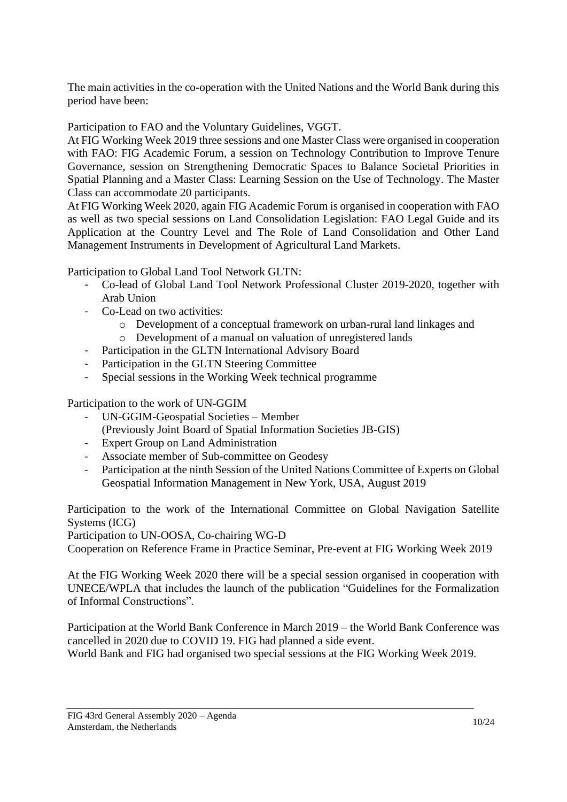The main activities in the co-operation with the United Nations and the World Bank during this period have been:

Participation to FAO and the Voluntary Guidelines, VGGT.

At FIG Working Week 2019 three sessions and one Master Class were organised in cooperation with FAO: FIG Academic Forum, a session on Technology Contribution to Improve Tenure Governance, session on Strengthening Democratic Spaces to Balance Societal Priorities in Spatial Planning and a Master Class: Learning Session on the Use of Technology. The Master Class can accommodate 20 participants.

At FIG Working Week 2020, again FIG Academic Forum is organised in cooperation with FAO as well as two special sessions on Land Consolidation Legislation: FAO Legal Guide and its Application at the Country Level and The Role of Land Consolidation and Other Land Management Instruments in Development of Agricultural Land Markets.

Participation to Global Land Tool Network GLTN:

- Co-lead of Global Land Tool Network Professional Cluster 2019-2020, together with Arab Union
- Co-Lead on two activities:
	- o Development of a conceptual framework on urban-rural land linkages and
	- o Development of a manual on valuation of unregistered lands
- Participation in the GLTN International Advisory Board
- Participation in the GLTN Steering Committee
- Special sessions in the Working Week technical programme

Participation to the work of UN-GGIM

- UN-GGIM-Geospatial Societies Member
- (Previously Joint Board of Spatial Information Societies JB-GIS)
- Expert Group on Land Administration
- Associate member of Sub-committee on Geodesy
- Participation at the ninth Session of the United Nations Committee of Experts on Global Geospatial Information Management in New York, USA, August 2019

Participation to the work of the International Committee on Global Navigation Satellite Systems (ICG)

Participation to UN-OOSA, Co-chairing WG-D

Cooperation on Reference Frame in Practice Seminar, Pre-event at FIG Working Week 2019

At the FIG Working Week 2020 there will be a special session organised in cooperation with UNECE/WPLA that includes the launch of the publication "Guidelines for the Formalization of Informal Constructions".

Participation at the World Bank Conference in March 2019 – the World Bank Conference was cancelled in 2020 due to COVID 19. FIG had planned a side event.

World Bank and FIG had organised two special sessions at the FIG Working Week 2019.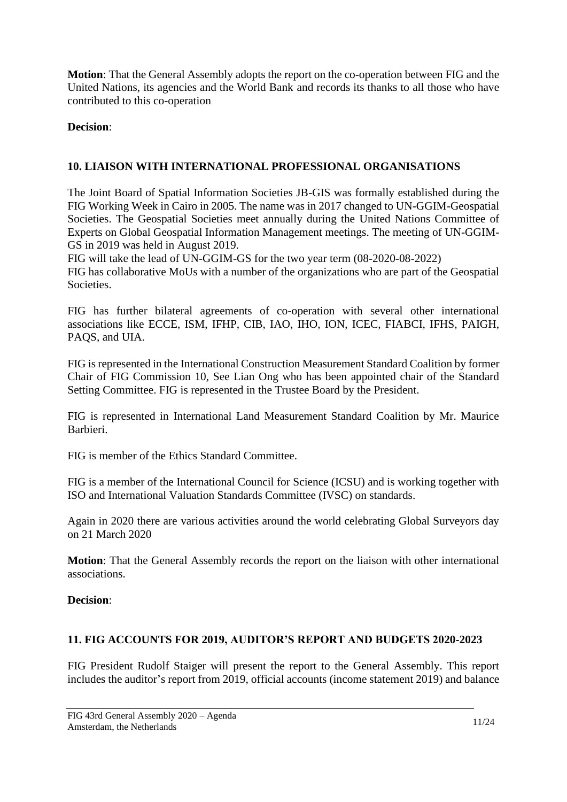**Motion**: That the General Assembly adopts the report on the co-operation between FIG and the United Nations, its agencies and the World Bank and records its thanks to all those who have contributed to this co-operation

### **Decision**:

# <span id="page-10-0"></span>**10. LIAISON WITH INTERNATIONAL PROFESSIONAL ORGANISATIONS**

The Joint Board of Spatial Information Societies JB-GIS was formally established during the FIG Working Week in Cairo in 2005. The name was in 2017 changed to UN-GGIM-Geospatial Societies. The Geospatial Societies meet annually during the United Nations Committee of Experts on Global Geospatial Information Management meetings. The meeting of UN-GGIM-GS in 2019 was held in August 2019.

FIG will take the lead of UN-GGIM-GS for the two year term (08-2020-08-2022) FIG has collaborative MoUs with a number of the organizations who are part of the Geospatial Societies.

FIG has further bilateral agreements of co-operation with several other international associations like ECCE, ISM, IFHP, CIB, IAO, IHO, ION, ICEC, FIABCI, IFHS, PAIGH, PAQS, and UIA.

FIG is represented in the International Construction Measurement Standard Coalition by former Chair of FIG Commission 10, See Lian Ong who has been appointed chair of the Standard Setting Committee. FIG is represented in the Trustee Board by the President.

FIG is represented in International Land Measurement Standard Coalition by Mr. Maurice Barbieri.

FIG is member of the Ethics Standard Committee.

FIG is a member of the International Council for Science (ICSU) and is working together with ISO and International Valuation Standards Committee (IVSC) on standards.

Again in 2020 there are various activities around the world celebrating Global Surveyors day on 21 March 2020

**Motion**: That the General Assembly records the report on the liaison with other international associations.

# **Decision**:

#### <span id="page-10-1"></span>**11. FIG ACCOUNTS FOR 2019, AUDITOR'S REPORT AND BUDGETS 2020-2023**

FIG President Rudolf Staiger will present the report to the General Assembly. This report includes the auditor's report from 2019, official accounts (income statement 2019) and balance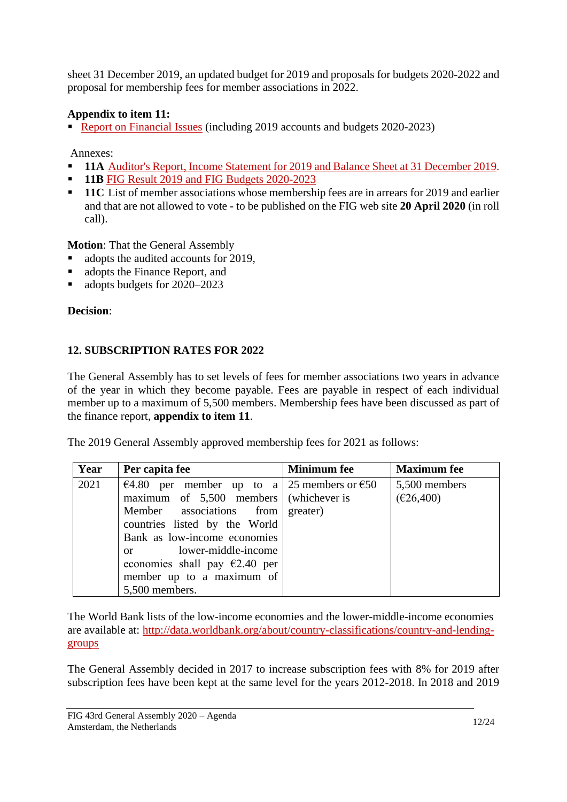sheet 31 December 2019, an updated budget for 2019 and proposals for budgets 2020-2022 and proposal for membership fees for member associations in 2022.

# **Appendix to item 11:**

■ [Report on Financial Issues](https://fig.net/organisation/general_assembly/agendas_and_minutes/2020/agenda/app_11_43rd_FIG_GA_Finance_Paper.pdf) (including 2019 accounts and budgets 2020-2023)

Annexes:

- **11A** [Auditor's Report, Income Statement for 2019](https://fig.net/organisation/general_assembly/agendas_and_minutes/2020/agenda/app_11_A_audited_financial_statement_2019.pdf) and Balance Sheet at 31 December 2019.
- **11B** [FIG Result 2019 and FIG Budgets 2020-2023](https://fig.net/organisation/general_assembly/agendas_and_minutes/2020/agenda/app_11_B_2020-23_budgets_GA.pdf)
- **11C** List of member associations whose membership fees are in arrears for 2019 and earlier and that are not allowed to vote - to be published on the FIG web site **20 April 2020** (in roll call).

**Motion**: That the General Assembly

- adopts the audited accounts for 2019,
- adopts the Finance Report, and
- adopts budgets for 2020–2023

# **Decision**:

# <span id="page-11-0"></span>**12. SUBSCRIPTION RATES FOR 2022**

The General Assembly has to set levels of fees for member associations two years in advance of the year in which they become payable. Fees are payable in respect of each individual member up to a maximum of 5,500 members. Membership fees have been discussed as part of the finance report, **appendix to item 11**.

The 2019 General Assembly approved membership fees for 2021 as follows:

| Year | Per capita fee                               | <b>Minimum</b> fee | <b>Maximum</b> fee |
|------|----------------------------------------------|--------------------|--------------------|
| 2021 | €4.80 per member up to a 25 members or $€50$ |                    | 5,500 members      |
|      | maximum of 5,500 members (whichever is       |                    | (E26,400)          |
|      | Member associations from greater)            |                    |                    |
|      | countries listed by the World                |                    |                    |
|      | Bank as low-income economies                 |                    |                    |
|      | or lower-middle-income                       |                    |                    |
|      | economies shall pay $\epsilon$ 2.40 per      |                    |                    |
|      | member up to a maximum of                    |                    |                    |
|      | 5,500 members.                               |                    |                    |

The World Bank lists of the low-income economies and the lower-middle-income economies are available at: [http://data.worldbank.org/about/country-classifications/country-and-lending](http://data.worldbank.org/about/country-classifications/country-and-lending-groups)[groups](http://data.worldbank.org/about/country-classifications/country-and-lending-groups) 

The General Assembly decided in 2017 to increase subscription fees with 8% for 2019 after subscription fees have been kept at the same level for the years 2012-2018. In 2018 and 2019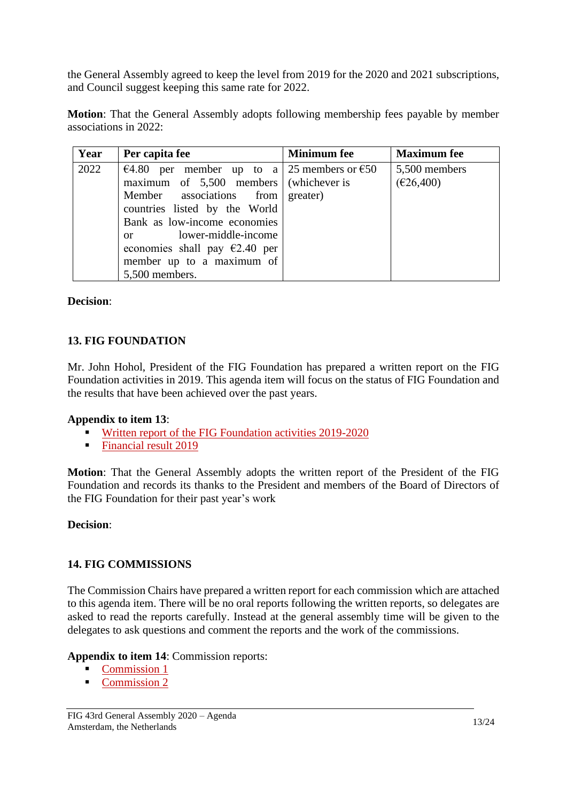the General Assembly agreed to keep the level from 2019 for the 2020 and 2021 subscriptions, and Council suggest keeping this same rate for 2022.

**Motion**: That the General Assembly adopts following membership fees payable by member associations in 2022:

| Year | Per capita fee                                                                                                                                                                                                                                                                                                   | <b>Minimum</b> fee | <b>Maximum</b> fee         |
|------|------------------------------------------------------------------------------------------------------------------------------------------------------------------------------------------------------------------------------------------------------------------------------------------------------------------|--------------------|----------------------------|
| 2022 | €4.80 per member up to a 25 members or €50<br>maximum of $5,500$ members (whichever is<br>Member associations from<br>countries listed by the World<br>Bank as low-income economies<br>lower-middle-income<br>$\alpha$<br>economies shall pay $\epsilon$ 2.40 per<br>member up to a maximum of<br>5,500 members. | greater)           | 5,500 members<br>(E26,400) |

# **Decision**:

# <span id="page-12-0"></span>**13. FIG FOUNDATION**

Mr. John Hohol, President of the FIG Foundation has prepared a written report on the FIG Foundation activities in 2019. This agenda item will focus on the status of FIG Foundation and the results that have been achieved over the past years.

# **Appendix to item 13**:

- [Written report of the FIG Foundation activities 2019-2020](https://fig.net/organisation/general_assembly/agendas_and_minutes/2020/agenda/app_13_01_2019_GA_report_foundation.pdf)
- [Financial result 2019](https://fig.net/organisation/general_assembly/agendas_and_minutes/2020/agenda/app_13_02_FIG_Foundation_financial_statement_2019.pdf)

**Motion**: That the General Assembly adopts the written report of the President of the FIG Foundation and records its thanks to the President and members of the Board of Directors of the FIG Foundation for their past year's work

#### **Decision**:

# <span id="page-12-1"></span>**14. FIG COMMISSIONS**

The Commission Chairs have prepared a written report for each commission which are attached to this agenda item. There will be no oral reports following the written reports, so delegates are asked to read the reports carefully. Instead at the general assembly time will be given to the delegates to ask questions and comment the reports and the work of the commissions.

#### **Appendix to item 14**: Commission reports:

- **Commission 1**
- [Commission 2](https://fig.net/organisation/general_assembly/agendas_and_minutes/2020/agenda/app_14_02_com_2_report_ga_2020.pdf)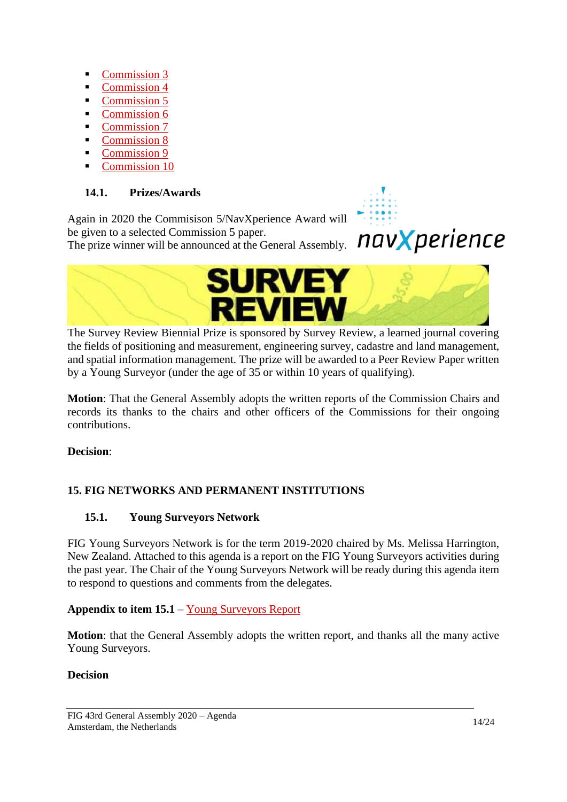- [Commission 3](https://fig.net/organisation/general_assembly/agendas_and_minutes/2020/agenda/app_14_03_Com_3_report_GA_2020.pdf)
- [Commission 4](https://fig.net/organisation/general_assembly/agendas_and_minutes/2020/agenda/app_14_04_com_4_report_ga_2020.pdf)
- [Commission 5](https://fig.net/organisation/general_assembly/agendas_and_minutes/2020/agenda/app_14_05_com_5_report_ga_2020.pdf)
- [Commission 6](https://fig.net/organisation/general_assembly/agendas_and_minutes/2020/agenda/app_14_06_com_6_report_ga_2020.pdf)
- [Commission 7](https://fig.net/organisation/general_assembly/agendas_and_minutes/2020/agenda/app_14_07_com_7_report_ga_2020.pdf)
- [Commission 8](https://fig.net/organisation/general_assembly/agendas_and_minutes/2020/agenda/app_14_08_com_8_report_ga_2020.pdf)
- [Commission 9](https://fig.net/organisation/general_assembly/agendas_and_minutes/2020/agenda/app_14_09_com_9_report_ga_2020.pdf)
- [Commission 10](https://fig.net/organisation/general_assembly/agendas_and_minutes/2020/agenda/app_14_10_com_10_report_ga_2020.pdf)

# <span id="page-13-0"></span>**14.1. Prizes/Awards**

Again in 2020 the Commisison 5/NavXperience Award will be given to a selected Commission 5 paper.

The prize winner will be announced at the General Assembly.



navXperience



The Survey Review Biennial Prize is sponsored by Survey Review, a learned journal covering the fields of positioning and measurement, engineering survey, cadastre and land management, and spatial information management. The prize will be awarded to a Peer Review Paper written by a Young Surveyor (under the age of 35 or within 10 years of qualifying).

**Motion**: That the General Assembly adopts the written reports of the Commission Chairs and records its thanks to the chairs and other officers of the Commissions for their ongoing contributions.

**Decision**:

# <span id="page-13-1"></span>**15. FIG NETWORKS AND PERMANENT INSTITUTIONS**

# <span id="page-13-2"></span>**15.1. Young Surveyors Network**

FIG Young Surveyors Network is for the term 2019-2020 chaired by Ms. Melissa Harrington, New Zealand. Attached to this agenda is a report on the FIG Young Surveyors activities during the past year. The Chair of the Young Surveyors Network will be ready during this agenda item to respond to questions and comments from the delegates.

# **Appendix to item 15.1** – [Young Surveyors Report](https://fig.net/organisation/general_assembly/agendas_and_minutes/2020/agenda/app_15__01_YSN_ga_2020.pdf)

**Motion**: that the General Assembly adopts the written report, and thanks all the many active Young Surveyors.

# **Decision**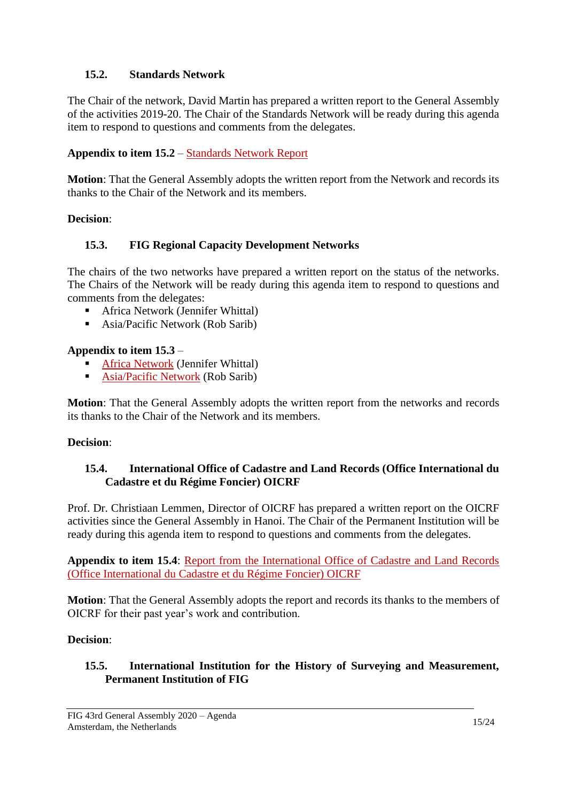### <span id="page-14-0"></span>**15.2. Standards Network**

The Chair of the network, David Martin has prepared a written report to the General Assembly of the activities 2019-20. The Chair of the Standards Network will be ready during this agenda item to respond to questions and comments from the delegates.

# **Appendix to item 15.2** – [Standards Network Report](https://fig.net/organisation/general_assembly/agendas_and_minutes/2020/agenda/app_15_02_Standards_Network_report%20_ga_2020.pdf)

**Motion**: That the General Assembly adopts the written report from the Network and records its thanks to the Chair of the Network and its members.

#### **Decision**:

# <span id="page-14-1"></span>**15.3. FIG Regional Capacity Development Networks**

The chairs of the two networks have prepared a written report on the status of the networks. The Chairs of the Network will be ready during this agenda item to respond to questions and comments from the delegates:

- Africa Network (Jennifer Whittal)
- Asia/Pacific Network (Rob Sarib)

### **Appendix to item 15.3** –

- [Africa Network](https://fig.net/organisation/general_assembly/agendas_and_minutes/2020/agenda/app_15_03_FIG-ARN_Report_ga_2020.pdf) (Jennifer Whittal)
- **E** [Asia/Pacific Network](https://fig.net/organisation/general_assembly/agendas_and_minutes/2020/agenda/app_15_03_FIG-AP-CDN_GA_Report_2020.pdf) (Rob Sarib)

**Motion**: That the General Assembly adopts the written report from the networks and records its thanks to the Chair of the Network and its members.

#### **Decision**:

#### <span id="page-14-2"></span>**15.4. International Office of Cadastre and Land Records (Office International du Cadastre et du Régime Foncier) OICRF**

Prof. Dr. Christiaan Lemmen, Director of OICRF has prepared a written report on the OICRF activities since the General Assembly in Hanoi. The Chair of the Permanent Institution will be ready during this agenda item to respond to questions and comments from the delegates.

**Appendix to item 15.4**: [Report from the International Office of Cadastre and Land Records](https://fig.net/organisation/general_assembly/agendas_and_minutes/2020/agenda/app_15_04_OICRFreport_ga_2020.pdf)  [\(Office International du Cadastre et du Régime Foncier\) OICRF](https://fig.net/organisation/general_assembly/agendas_and_minutes/2020/agenda/app_15_04_OICRFreport_ga_2020.pdf)

**Motion**: That the General Assembly adopts the report and records its thanks to the members of OICRF for their past year's work and contribution.

#### **Decision**:

#### <span id="page-14-3"></span>**15.5. International Institution for the History of Surveying and Measurement, Permanent Institution of FIG**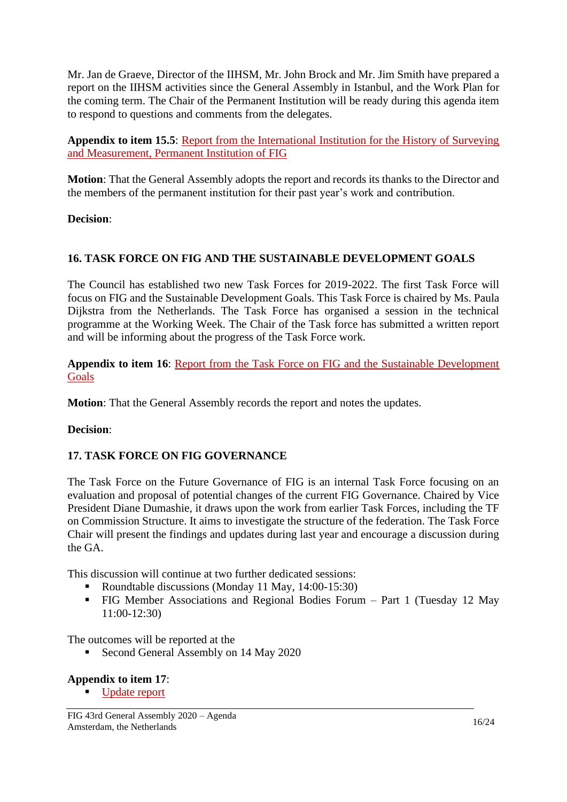Mr. Jan de Graeve, Director of the IIHSM, Mr. John Brock and Mr. Jim Smith have prepared a report on the IIHSM activities since the General Assembly in Istanbul, and the Work Plan for the coming term. The Chair of the Permanent Institution will be ready during this agenda item to respond to questions and comments from the delegates.

**Appendix to item 15.5**: Report [from the International Institution for the History of Surveying](https://fig.net/organisation/general_assembly/agendas_and_minutes/2020/agenda/app_15_05_iihsm_report_ga_2020.pdf)  [and Measurement, Permanent Institution of FIG](https://fig.net/organisation/general_assembly/agendas_and_minutes/2020/agenda/app_15_05_iihsm_report_ga_2020.pdf)

**Motion**: That the General Assembly adopts the report and records its thanks to the Director and the members of the permanent institution for their past year's work and contribution.

#### **Decision**:

# <span id="page-15-0"></span>**16. TASK FORCE ON FIG AND THE SUSTAINABLE DEVELOPMENT GOALS**

The Council has established two new Task Forces for 2019-2022. The first Task Force will focus on FIG and the Sustainable Development Goals. This Task Force is chaired by Ms. Paula Dijkstra from the Netherlands. The Task Force has organised a session in the technical programme at the Working Week. The Chair of the Task force has submitted a written report and will be informing about the progress of the Task Force work.

**Appendix to item 16**: [Report from the Task Force on FIG and the Sustainable Development](https://fig.net/organisation/general_assembly/agendas_and_minutes/2020/agenda/app_16_TF-SDGs_report_GA_2020.pdf)  [Goals](https://fig.net/organisation/general_assembly/agendas_and_minutes/2020/agenda/app_16_TF-SDGs_report_GA_2020.pdf)

**Motion**: That the General Assembly records the report and notes the updates.

#### **Decision**:

#### <span id="page-15-1"></span>**17. TASK FORCE ON FIG GOVERNANCE**

The Task Force on the Future Governance of FIG is an internal Task Force focusing on an evaluation and proposal of potential changes of the current FIG Governance. Chaired by Vice President Diane Dumashie, it draws upon the work from earlier Task Forces, including the TF on Commission Structure. It aims to investigate the structure of the federation. The Task Force Chair will present the findings and updates during last year and encourage a discussion during the GA.

This discussion will continue at two further dedicated sessions:

- Roundtable discussions (Monday 11 May, 14:00-15:30)
- FIG Member Associations and Regional Bodies Forum Part 1 (Tuesday 12 May 11:00-12:30)

The outcomes will be reported at the

■ Second General Assembly on 14 May 2020

#### **Appendix to item 17**:

■ [Update report](https://fig.net/organisation/general_assembly/agendas_and_minutes/2020/agenda/app_17_tf-governance_report_ga_2020.pdf)

FIG 43rd General Assembly 2020 – Agenda Amsterdam, the Netherlands 16/24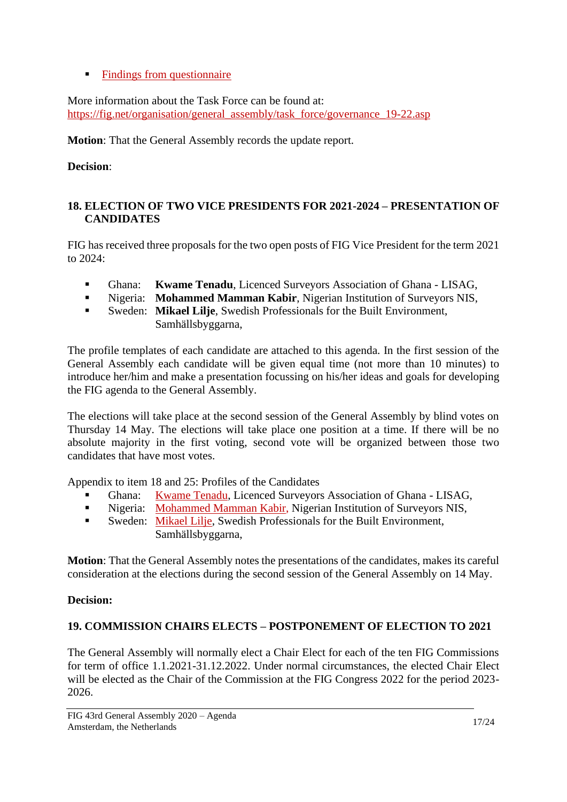■ [Findings from questionnaire](https://fig.net/organisation/general_assembly/agendas_and_minutes/2020/agenda/app_17_TF-Governace_appendix1_ga_2020.pdf)

More information about the Task Force can be found at: [https://fig.net/organisation/general\\_assembly/task\\_force/governance\\_19-22.asp](https://fig.net/organisation/general_assembly/task_force/governance_19-22.asp)

**Motion**: That the General Assembly records the update report.

**Decision**:

### <span id="page-16-0"></span>**18. ELECTION OF TWO VICE PRESIDENTS FOR 2021-2024 – PRESENTATION OF CANDIDATES**

FIG has received three proposals for the two open posts of FIG Vice President for the term 2021 to 2024:

- Ghana: **Kwame Tenadu**, Licenced Surveyors Association of Ghana LISAG,
- Nigeria: **Mohammed Mamman Kabir**, Nigerian Institution of Surveyors NIS,
- Sweden: Mikael Lilje, Swedish Professionals for the Built Environment, Samhällsbyggarna,

The profile templates of each candidate are attached to this agenda. In the first session of the General Assembly each candidate will be given equal time (not more than 10 minutes) to introduce her/him and make a presentation focussing on his/her ideas and goals for developing the FIG agenda to the General Assembly.

The elections will take place at the second session of the General Assembly by blind votes on Thursday 14 May. The elections will take place one position at a time. If there will be no absolute majority in the first voting, second vote will be organized between those two candidates that have most votes.

Appendix to item 18 and 25: Profiles of the Candidates

- Ghana: [Kwame Tenadu,](https://fig.net/organisation/general_assembly/agendas_and_minutes/2020/agenda/app_18_nomination_kwame_tenadu.pdf) Licenced Surveyors Association of Ghana LISAG,
- Nigeria: [Mohammed Mamman Kabir,](https://fig.net/organisation/general_assembly/agendas_and_minutes/2020/agenda/app_18_nomination_mansur_kabir.pdf) Nigerian Institution of Surveyors NIS,
- **EXECUTE:** Sweden: [Mikael Lilje,](https://fig.net/organisation/general_assembly/agendas_and_minutes/2020/agenda/app_18_nomination_mikael_lilje.pdf) Swedish Professionals for the Built Environment, Samhällsbyggarna,

**Motion**: That the General Assembly notes the presentations of the candidates, makes its careful consideration at the elections during the second session of the General Assembly on 14 May.

# **Decision:**

# <span id="page-16-1"></span>**19. COMMISSION CHAIRS ELECTS – POSTPONEMENT OF ELECTION TO 2021**

The General Assembly will normally elect a Chair Elect for each of the ten FIG Commissions for term of office 1.1.2021-31.12.2022. Under normal circumstances, the elected Chair Elect will be elected as the Chair of the Commission at the FIG Congress 2022 for the period 2023- 2026.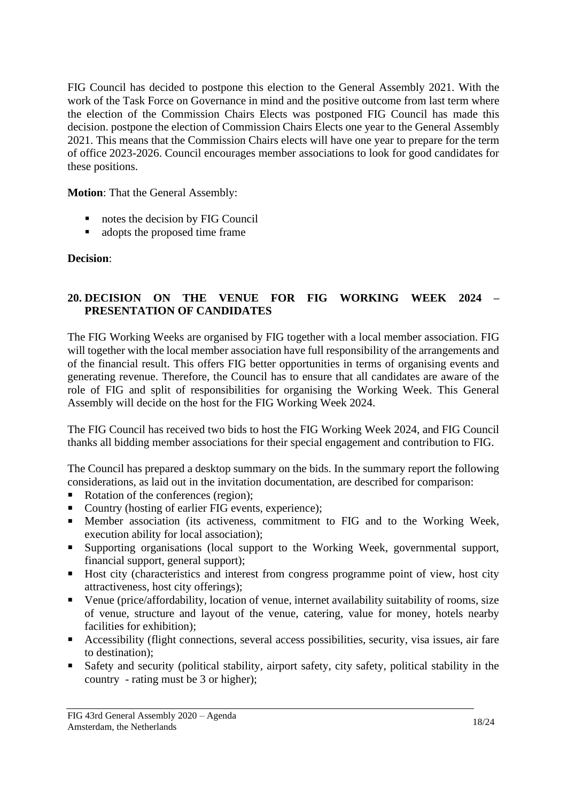FIG Council has decided to postpone this election to the General Assembly 2021. With the work of the Task Force on Governance in mind and the positive outcome from last term where the election of the Commission Chairs Elects was postponed FIG Council has made this decision. postpone the election of Commission Chairs Elects one year to the General Assembly 2021. This means that the Commission Chairs elects will have one year to prepare for the term of office 2023-2026. Council encourages member associations to look for good candidates for these positions.

**Motion**: That the General Assembly:

- notes the decision by FIG Council
- adopts the proposed time frame

#### **Decision**:

# <span id="page-17-0"></span>**20. DECISION ON THE VENUE FOR FIG WORKING WEEK 2024 – PRESENTATION OF CANDIDATES**

The FIG Working Weeks are organised by FIG together with a local member association. FIG will together with the local member association have full responsibility of the arrangements and of the financial result. This offers FIG better opportunities in terms of organising events and generating revenue. Therefore, the Council has to ensure that all candidates are aware of the role of FIG and split of responsibilities for organising the Working Week. This General Assembly will decide on the host for the FIG Working Week 2024.

The FIG Council has received two bids to host the FIG Working Week 2024, and FIG Council thanks all bidding member associations for their special engagement and contribution to FIG.

The Council has prepared a desktop summary on the bids. In the summary report the following considerations, as laid out in the invitation documentation, are described for comparison:

- Rotation of the conferences (region);
- Country (hosting of earlier FIG events, experience);
- **■** Member association (its activeness, commitment to FIG and to the Working Week, execution ability for local association);
- Supporting organisations (local support to the Working Week, governmental support, financial support, general support);
- Host city (characteristics and interest from congress programme point of view, host city attractiveness, host city offerings);
- Venue (price/affordability, location of venue, internet availability suitability of rooms, size of venue, structure and layout of the venue, catering, value for money, hotels nearby facilities for exhibition);
- Accessibility (flight connections, several access possibilities, security, visa issues, air fare to destination);
- Safety and security (political stability, airport safety, city safety, political stability in the country - rating must be 3 or higher);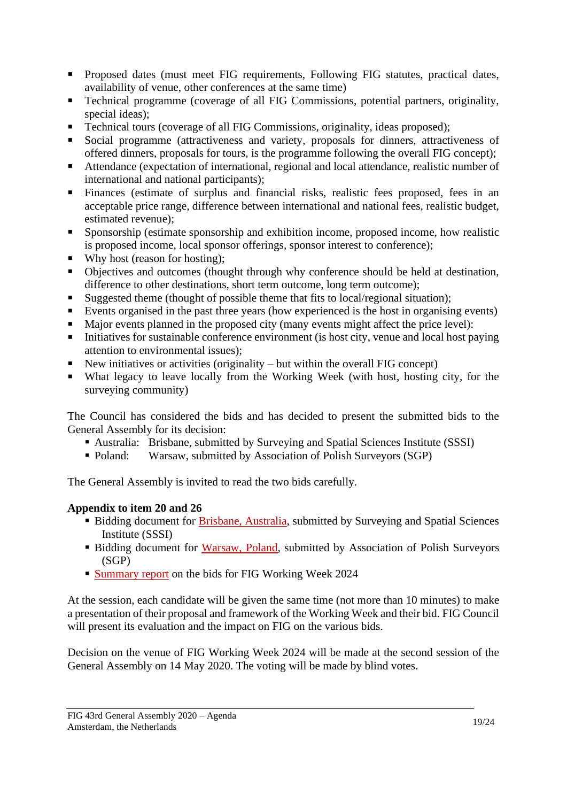- **•** Proposed dates (must meet FIG requirements, Following FIG statutes, practical dates, availability of venue, other conferences at the same time)
- Technical programme (coverage of all FIG Commissions, potential partners, originality, special ideas);
- Technical tours (coverage of all FIG Commissions, originality, ideas proposed);
- Social programme (attractiveness and variety, proposals for dinners, attractiveness of offered dinners, proposals for tours, is the programme following the overall FIG concept);
- Attendance (expectation of international, regional and local attendance, realistic number of international and national participants);
- Finances (estimate of surplus and financial risks, realistic fees proposed, fees in an acceptable price range, difference between international and national fees, realistic budget, estimated revenue);
- Sponsorship (estimate sponsorship and exhibition income, proposed income, how realistic is proposed income, local sponsor offerings, sponsor interest to conference);
- Why host (reason for hosting);
- Objectives and outcomes (thought through why conference should be held at destination, difference to other destinations, short term outcome, long term outcome);
- Suggested theme (thought of possible theme that fits to local/regional situation);
- Events organised in the past three years (how experienced is the host in organising events)
- Major events planned in the proposed city (many events might affect the price level):
- Initiatives for sustainable conference environment (is host city, venue and local host paying attention to environmental issues);
- New initiatives or activities (originality  $-$  but within the overall FIG concept)
- What legacy to leave locally from the Working Week (with host, hosting city, for the surveying community)

The Council has considered the bids and has decided to present the submitted bids to the General Assembly for its decision:

- Australia: Brisbane, submitted by Surveying and Spatial Sciences Institute (SSSI)
- Poland: Warsaw, submitted by Association of Polish Surveyors (SGP)

The General Assembly is invited to read the two bids carefully.

# **Appendix to item 20 and 26**

- Bidding document for [Brisbane, Australia,](https://fig.net/organisation/general_assembly/agendas_and_minutes/2020/agenda/app_20_Australia_bidWW24.pdf) submitted by Surveying and Spatial Sciences Institute (SSSI)
- **Example 3** Bidding document for [Warsaw, Poland,](https://fig.net/organisation/general_assembly/agendas_and_minutes/2020/agenda/app_20_poland_bidWW24.pdf) submitted by Association of Polish Surveyors (SGP)
- **Example 1** [Summary report](https://fig.net/organisation/general_assembly/agendas_and_minutes/2020/agenda/app_20_Summary_evaluation-WW2024.pdf) on the bids for FIG Working Week 2024

At the session, each candidate will be given the same time (not more than 10 minutes) to make a presentation of their proposal and framework of the Working Week and their bid. FIG Council will present its evaluation and the impact on FIG on the various bids.

Decision on the venue of FIG Working Week 2024 will be made at the second session of the General Assembly on 14 May 2020. The voting will be made by blind votes.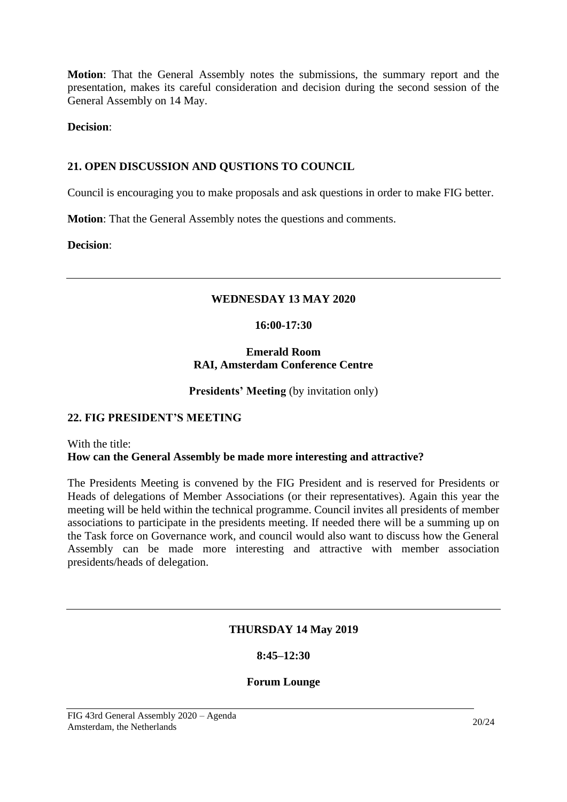**Motion**: That the General Assembly notes the submissions, the summary report and the presentation, makes its careful consideration and decision during the second session of the General Assembly on 14 May.

**Decision**:

### <span id="page-19-0"></span>**21. OPEN DISCUSSION AND QUSTIONS TO COUNCIL**

Council is encouraging you to make proposals and ask questions in order to make FIG better.

**Motion**: That the General Assembly notes the questions and comments.

<span id="page-19-1"></span>**Decision**:

### **WEDNESDAY 13 MAY 2020**

#### **16:00-17:30**

#### **Emerald Room RAI, Amsterdam Conference Centre**

**Presidents' Meeting** (by invitation only)

#### <span id="page-19-2"></span>**22. FIG PRESIDENT'S MEETING**

#### With the title: **How can the General Assembly be made more interesting and attractive?**

<span id="page-19-3"></span>The Presidents Meeting is convened by the FIG President and is reserved for Presidents or Heads of delegations of Member Associations (or their representatives). Again this year the meeting will be held within the technical programme. Council invites all presidents of member associations to participate in the presidents meeting. If needed there will be a summing up on the Task force on Governance work, and council would also want to discuss how the General Assembly can be made more interesting and attractive with member association presidents/heads of delegation.

#### **THURSDAY 14 May 2019**

#### **8:45–12:30**

#### **Forum Lounge**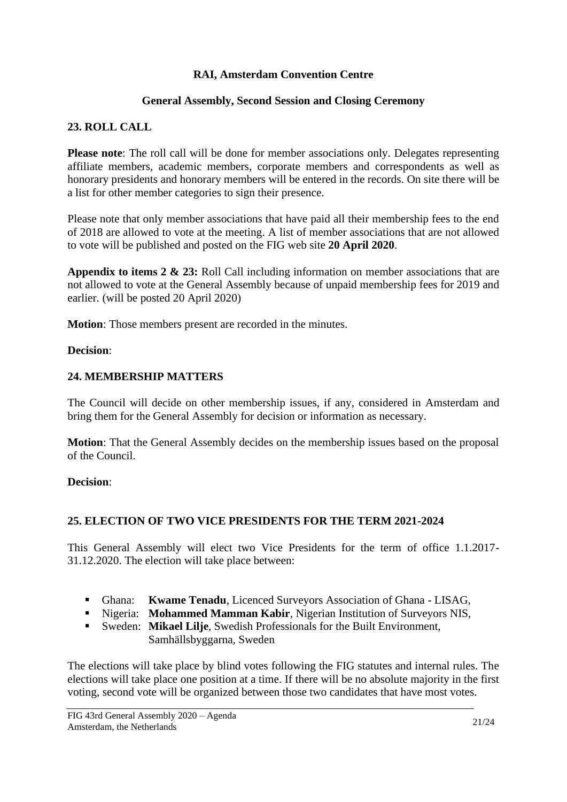### **RAI, Amsterdam Convention Centre**

#### **General Assembly, Second Session and Closing Ceremony**

#### <span id="page-20-0"></span>**23. ROLL CALL**

**Please note:** The roll call will be done for member associations only. Delegates representing affiliate members, academic members, corporate members and correspondents as well as honorary presidents and honorary members will be entered in the records. On site there will be a list for other member categories to sign their presence.

Please note that only member associations that have paid all their membership fees to the end of 2018 are allowed to vote at the meeting. A list of member associations that are not allowed to vote will be published and posted on the FIG web site **20 April 2020**.

**Appendix to items 2 & 23:** Roll Call including information on member associations that are not allowed to vote at the General Assembly because of unpaid membership fees for 2019 and earlier. (will be posted 20 April 2020)

**Motion**: Those members present are recorded in the minutes.

#### **Decision**:

#### <span id="page-20-1"></span>**24. MEMBERSHIP MATTERS**

The Council will decide on other membership issues, if any, considered in Amsterdam and bring them for the General Assembly for decision or information as necessary.

**Motion**: That the General Assembly decides on the membership issues based on the proposal of the Council.

#### **Decision**:

#### <span id="page-20-2"></span>**25. ELECTION OF TWO VICE PRESIDENTS FOR THE TERM 2021-2024**

This General Assembly will elect two Vice Presidents for the term of office 1.1.2017- 31.12.2020. The election will take place between:

- Ghana: **Kwame Tenadu**, Licenced Surveyors Association of Ghana LISAG,
- Nigeria: **Mohammed Mamman Kabir**, Nigerian Institution of Surveyors NIS,
- Sweden: **Mikael Lilje**, Swedish Professionals for the Built Environment, Samhällsbyggarna, Sweden

The elections will take place by blind votes following the FIG statutes and internal rules. The elections will take place one position at a time. If there will be no absolute majority in the first voting, second vote will be organized between those two candidates that have most votes.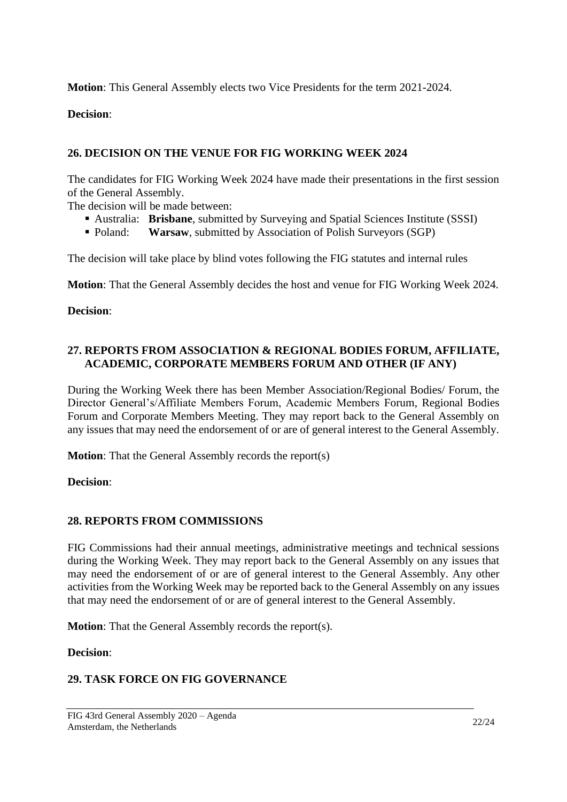**Motion**: This General Assembly elects two Vice Presidents for the term 2021-2024.

**Decision**:

### <span id="page-21-0"></span>**26. DECISION ON THE VENUE FOR FIG WORKING WEEK 2024**

The candidates for FIG Working Week 2024 have made their presentations in the first session of the General Assembly.

The decision will be made between:

- Australia: **Brisbane**, submitted by Surveying and Spatial Sciences Institute (SSSI)
- Poland: **Warsaw**, submitted by Association of Polish Surveyors (SGP)

The decision will take place by blind votes following the FIG statutes and internal rules

**Motion**: That the General Assembly decides the host and venue for FIG Working Week 2024.

#### **Decision**:

#### <span id="page-21-1"></span>**27. REPORTS FROM ASSOCIATION & REGIONAL BODIES FORUM, AFFILIATE, ACADEMIC, CORPORATE MEMBERS FORUM AND OTHER (IF ANY)**

During the Working Week there has been Member Association/Regional Bodies/ Forum, the Director General's/Affiliate Members Forum, Academic Members Forum, Regional Bodies Forum and Corporate Members Meeting. They may report back to the General Assembly on any issues that may need the endorsement of or are of general interest to the General Assembly.

**Motion**: That the General Assembly records the report(s)

**Decision**:

#### <span id="page-21-2"></span>**28. REPORTS FROM COMMISSIONS**

FIG Commissions had their annual meetings, administrative meetings and technical sessions during the Working Week. They may report back to the General Assembly on any issues that may need the endorsement of or are of general interest to the General Assembly. Any other activities from the Working Week may be reported back to the General Assembly on any issues that may need the endorsement of or are of general interest to the General Assembly.

**Motion**: That the General Assembly records the report(s).

**Decision**:

# <span id="page-21-3"></span>**29. TASK FORCE ON FIG GOVERNANCE**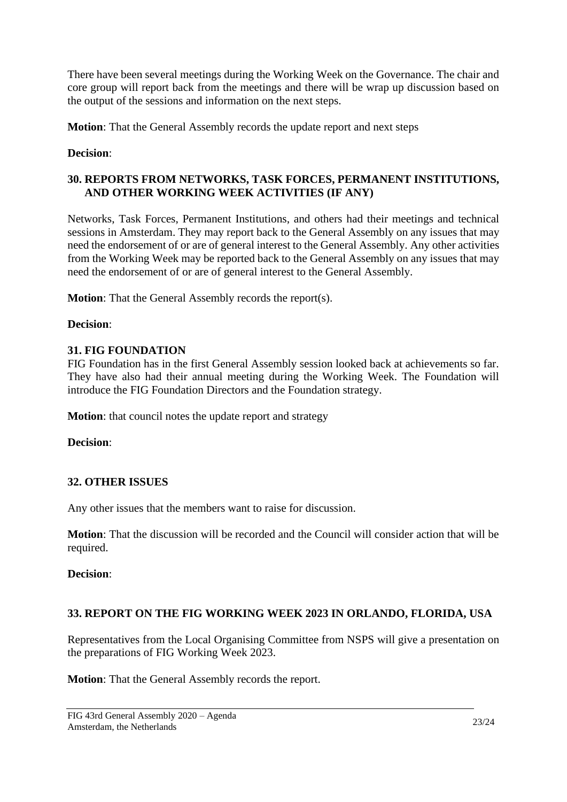There have been several meetings during the Working Week on the Governance. The chair and core group will report back from the meetings and there will be wrap up discussion based on the output of the sessions and information on the next steps.

**Motion**: That the General Assembly records the update report and next steps

### **Decision**:

### <span id="page-22-0"></span>**30. REPORTS FROM NETWORKS, TASK FORCES, PERMANENT INSTITUTIONS, AND OTHER WORKING WEEK ACTIVITIES (IF ANY)**

Networks, Task Forces, Permanent Institutions, and others had their meetings and technical sessions in Amsterdam. They may report back to the General Assembly on any issues that may need the endorsement of or are of general interest to the General Assembly. Any other activities from the Working Week may be reported back to the General Assembly on any issues that may need the endorsement of or are of general interest to the General Assembly.

**Motion**: That the General Assembly records the report(s).

### **Decision**:

### <span id="page-22-1"></span>**31. FIG FOUNDATION**

FIG Foundation has in the first General Assembly session looked back at achievements so far. They have also had their annual meeting during the Working Week. The Foundation will introduce the FIG Foundation Directors and the Foundation strategy.

**Motion**: that council notes the update report and strategy

**Decision**:

# <span id="page-22-2"></span>**32. OTHER ISSUES**

Any other issues that the members want to raise for discussion.

**Motion**: That the discussion will be recorded and the Council will consider action that will be required.

**Decision**:

# <span id="page-22-3"></span>**33. REPORT ON THE FIG WORKING WEEK 2023 IN ORLANDO, FLORIDA, USA**

Representatives from the Local Organising Committee from NSPS will give a presentation on the preparations of FIG Working Week 2023.

**Motion**: That the General Assembly records the report.